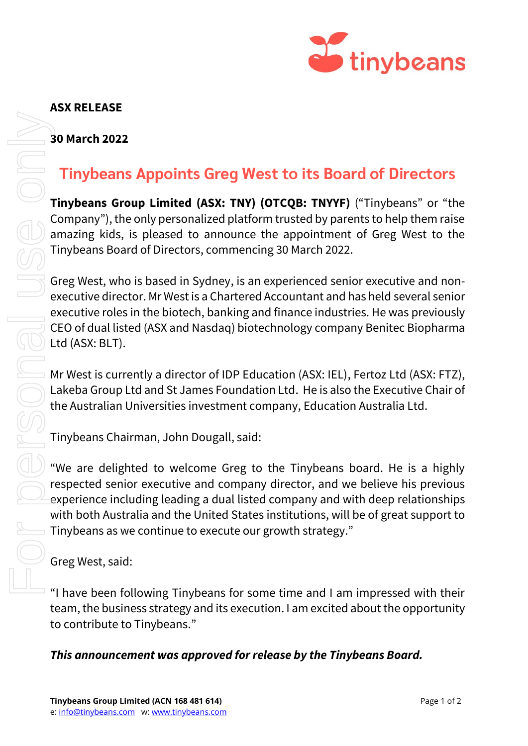

## **ASX RELEASE**

## **30 March 2022**

## **Tinybeans Appoints Greg West to its Board of Directors**

**Tinybeans Group Limited (ASX: TNY) (OTCQB: TNYYF)** ("Tinybeans" or "the Company"), the only personalized platform trusted by parents to help them raise amazing kids, is pleased to announce the appointment of Greg West to the Tinybeans Board of Directors, commencing 30 March 2022.

Greg West, who is based in Sydney, is an experienced senior executive and nonexecutive director. Mr West is a Chartered Accountant and has held several senior executive roles in the biotech, banking and finance industries. He was previously CEO of dual listed (ASX and Nasdaq) biotechnology company Benitec Biopharma Ltd (ASX: BLT). **This announce of the Time Conduct Conduct Conduct Conduct Conduct Company)**<br> **This announce to approve for release by the conduct Conduct Conduct Conduct Conduct Conduct Conduct Conduct Conduct Conduct Conduct Conduct Con** 

Mr West is currently a director of IDP Education (ASX: IEL), Fertoz Ltd (ASX: FTZ), Lakeba Group Ltd and St James Foundation Ltd. He is also the Executive Chair of the Australian Universities investment company, Education Australia Ltd.

Tinybeans Chairman, John Dougall, said:

"We are delighted to welcome Greg to the Tinybeans board. He is a highly respected senior executive and company director, and we believe his previous experience including leading a dual listed company and with deep relationships with both Australia and the United States institutions, will be of great support to Tinybeans as we continue to execute our growth strategy."

Greg West, said:

"I have been following Tinybeans for some time and I am impressed with their team, the business strategy and its execution. I am excited about the opportunity to contribute to Tinybeans."